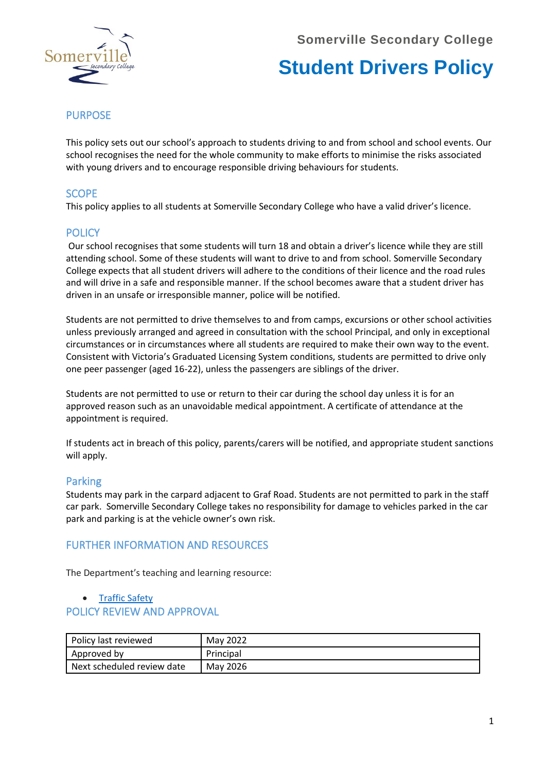**Somerville Secondary College**



# **Student Drivers Policy**

# **PURPOSE**

This policy sets out our school's approach to students driving to and from school and school events. Our school recognises the need for the whole community to make efforts to minimise the risks associated with young drivers and to encourage responsible driving behaviours for students.

# **SCOPE**

This policy applies to all students at Somerville Secondary College who have a valid driver's licence.

# **POLICY**

Our school recognises that some students will turn 18 and obtain a driver's licence while they are still attending school. Some of these students will want to drive to and from school. Somerville Secondary College expects that all student drivers will adhere to the conditions of their licence and the road rules and will drive in a safe and responsible manner. If the school becomes aware that a student driver has driven in an unsafe or irresponsible manner, police will be notified.

Students are not permitted to drive themselves to and from camps, excursions or other school activities unless previously arranged and agreed in consultation with the school Principal, and only in exceptional circumstances or in circumstances where all students are required to make their own way to the event. Consistent with Victoria's Graduated Licensing System conditions, students are permitted to drive only one peer passenger (aged 16-22), unless the passengers are siblings of the driver.

Students are not permitted to use or return to their car during the school day unless it is for an approved reason such as an unavoidable medical appointment. A certificate of attendance at the appointment is required.

If students act in breach of this policy, parents/carers will be notified, and appropriate student sanctions will apply.

## Parking

Students may park in the carpard adjacent to Graf Road. Students are not permitted to park in the staff car park. Somerville Secondary College takes no responsibility for damage to vehicles parked in the car park and parking is at the vehicle owner's own risk.

## FURTHER INFORMATION AND RESOURCES

The Department's teaching and learning resource:

### • [Traffic Safety](http://www.education.vic.gov.au/school/teachers/teachingresources/discipline/physed/Pages/trafficsafety.aspx)

### POLICY REVIEW AND APPROVAL

| Policy last reviewed       | May 2022  |
|----------------------------|-----------|
| Approved by                | Principal |
| Next scheduled review date | May 2026  |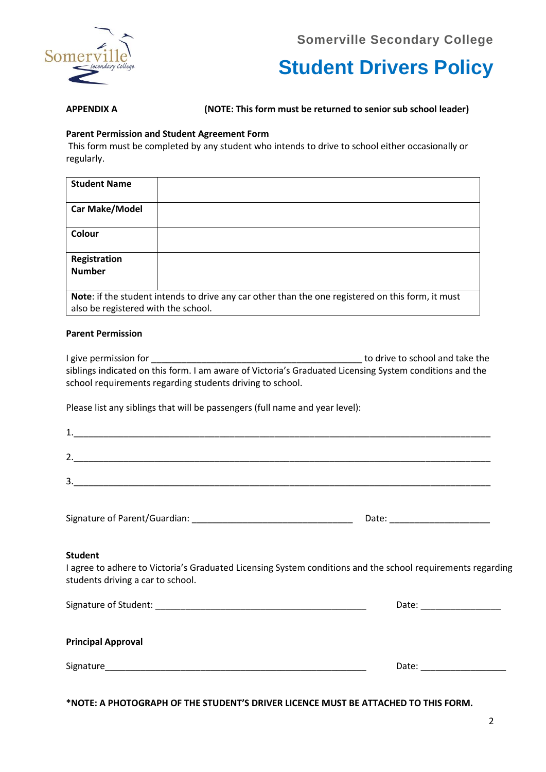**Somerville Secondary College**



**Student Drivers Policy**

**APPENDIX A (NOTE: This form must be returned to senior sub school leader)**

### **Parent Permission and Student Agreement Form**

This form must be completed by any student who intends to drive to school either occasionally or regularly.

| <b>Student Name</b>                 |                                                                                                   |
|-------------------------------------|---------------------------------------------------------------------------------------------------|
| <b>Car Make/Model</b>               |                                                                                                   |
| Colour                              |                                                                                                   |
| Registration                        |                                                                                                   |
| <b>Number</b>                       |                                                                                                   |
|                                     |                                                                                                   |
|                                     | Note: if the student intends to drive any car other than the one registered on this form, it must |
| also be registered with the school. |                                                                                                   |

### **Parent Permission**

I give permission for **EXECUTE:** I give permission for **EXECUTE:** The school and take the siblings indicated on this form. I am aware of Victoria's Graduated Licensing System conditions and the school requirements regarding students driving to school.

Please list any siblings that will be passengers (full name and year level):

| - -    |  |  |  |
|--------|--|--|--|
|        |  |  |  |
| ◠<br>ັ |  |  |  |

Signature of Parent/Guardian: example and the state of Date:

### **Student**

I agree to adhere to Victoria's Graduated Licensing System conditions and the school requirements regarding students driving a car to school.

| Signature of Student: | Date. |
|-----------------------|-------|
|-----------------------|-------|

| <b>Principal Approval</b> |  |
|---------------------------|--|
|---------------------------|--|

Signature\_\_\_\_\_\_\_\_\_\_\_\_\_\_\_\_\_\_\_\_\_\_\_\_\_\_\_\_\_\_\_\_\_\_\_\_\_\_\_\_\_\_\_\_\_\_\_\_\_\_\_\_ Date: \_\_\_\_\_\_\_\_\_\_\_\_\_\_\_\_\_

**\*NOTE: A PHOTOGRAPH OF THE STUDENT'S DRIVER LICENCE MUST BE ATTACHED TO THIS FORM.**